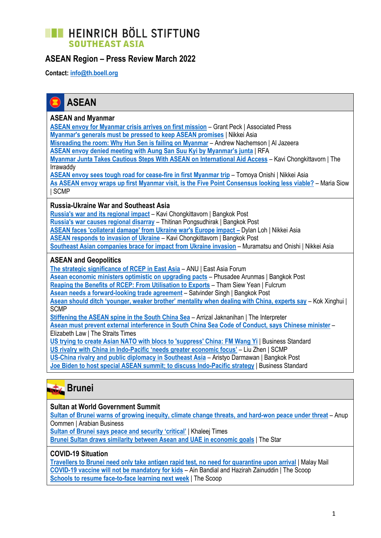## **EXECUTE HEINRICH BÖLL STIFTUNG SOUTHEAST ASIA**

### **ASEAN Region – Press Review March 2022**

**Contact: [info@th.boell.org](mailto:info@th.boell.org?subject=Political%20overview%20ASEAN)**



#### **ASEAN and Myanmar**

**[ASEAN envoy for Myanmar crisis arrives on first mission](https://apnews.com/article/business-asia-myanmar-global-trade-southeast-asia-062c492ab1d687f550fec6f04a692ae5)** – Grant Peck | Associated Press **[Myanmar's generals must be pressed to keep ASEAN promises](https://asia.nikkei.com/Opinion/The-Nikkei-View/Myanmar-s-generals-must-be-pressed-to-keep-ASEAN-promises)** | Nikkei Asia **[Misreading the room: Why Hun Sen is failing on Myanmar](https://www.aljazeera.com/news/2022/3/30/misreading-the-room-why-hun-sen-is-failing-on-myanmar)** – Andrew Nachemson | Al Jazeera **[ASEAN envoy denied meeting with Aung San Suu Kyi by Myanmar's junta](https://www.rfa.org/english/news/myanmar/envoy-03232022185949.html)** | RFA

**[Myanmar Junta Takes Cautious Steps With ASEAN on International Aid Access](https://www.irrawaddy.com/opinion/guest-column/myanmar-junta-takes-cautious-steps-with-asean-on-international-aid-access.html)** – Kavi Chongkittavorn | The Irrawaddy

**[ASEAN envoy sees tough road for cease-fire in first Myanmar trip](https://asia.nikkei.com/Spotlight/Myanmar-Crisis/ASEAN-envoy-sees-tough-road-for-cease-fire-in-first-Myanmar-trip)** – Tomoya Onishi | Nikkei Asia **[As ASEAN envoy wraps up first Myanmar visit, is the Five Point Consensus looking less viable?](https://www.scmp.com/week-asia/politics/article/3171581/asean-envoy-wraps-first-myanmar-visit-five-point-consensus)** – Maria Siow | SCMP

#### **Russia-Ukraine War and Southeast Asia**

**[Russia's war and its regional impact](https://www.bangkokpost.com/opinion/opinion/2286666/russias-war-and-its-regional-impact)** – Kavi Chongkittavorn | Bangkok Post **[Russia's war causes regional disarray](https://www.bangkokpost.com/opinion/opinion/2281078/russias-war-causes-regional-disarray)** – Thitinan Pongsudhirak | Bangkok Post **[ASEAN faces 'collateral damage' from Ukraine war's Europe impact](https://asia.nikkei.com/Politics/Ukraine-war/ASEAN-faces-collateral-damage-from-Ukraine-war-s-Europe-impact) –** Dylan Loh | Nikkei Asia **[ASEAN responds to invasion of Ukraine](https://www.bangkokpost.com/opinion/opinion/2271723/asean-responds-to-invasion-of-ukraine)** – Kavi Chongkittavorn | Bangkok Post **[Southeast Asian companies brace for impact from Ukraine invasion](https://asia.nikkei.com/Politics/Ukraine-war/Southeast-Asian-companies-brace-for-impact-from-Ukraine-invasion)** – Muramatsu and Onishi | Nikkei Asia

#### **ASEAN and Geopolitics**

**[The strategic significance of RCEP in East Asia](https://www.eastasiaforum.org/2022/03/28/the-strategic-significance-of-rcep-in-east-asia/)** – ANU | East Asia Forum **[Asean economic ministers optimistic on upgrading pacts](https://www.bangkokpost.com/business/2279767/asean-economic-ministers-optimistic-on-upgrading-pacts)** – Phusadee Arunmas | Bangkok Post **[Reaping the Benefits of RCEP: From Utilisation to Exports](https://fulcrum.sg/reaping-the-benefits-of-rcep-from-utilisation-to-exports/)** – Tham Siew Yean | Fulcrum **[Asean needs a forward-looking trade agreement](https://www.bangkokpost.com/opinion/opinion/2284950/asean-needs-a-forward-looking-trade-agreement)** – Satvinder Singh | Bangkok Post **[Asean should ditch 'younger, weaker brother' mentality when dealing with China, experts say](https://www.scmp.com/week-asia/politics/article/3171529/asean-should-ditch-younger-weaker-brother-mentality-when-dealing)** – Kok Xinghui | **SCMP [Stiffening the ASEAN spine in the South China Sea](https://www.lowyinstitute.org/the-interpreter/stiffening-asean-spine-south-china-sea)** – Arrizal Jaknanihan | The Interpreter

**[Asean must prevent external interference in South China Sea Code of Conduct, says Chinese minister](https://www.straitstimes.com/asia/east-asia/asean-must-prevent-external-interference-for-south-china-sea-code-of-conduct-china)** – Elizabeth Law | The Straits Times

**[US trying to create Asian NATO with blocs to 'suppress' China: FM Wang Yi](https://www.business-standard.com/article/international/us-trying-to-create-asian-nato-with-blocs-to-suppress-china-fm-wang-yi-122030701343_1.html)** | Business Standard

**US rivalry with China in Indo-[Pacific 'needs greater economic focus'](https://www.scmp.com/news/china/diplomacy/article/3172108/us-rivalry-china-indo-pacific-needs-greater-economic-focus)** – Liu Zhen | SCMP

**[US-China rivalry and public diplomacy in Southeast Asia](https://www.bangkokpost.com/business/2278839/us-china-rivalry-and-public-diplomacy-in-southeast-asia)** – Aristyo Darmawan | Bangkok Post

**[Joe Biden to host special ASEAN summit; to discuss Indo-Pacific strategy](https://www.business-standard.com/article/international/joe-biden-to-host-special-asean-summit-to-discuss-indo-pacific-strategy-122033000867_1.html)** | Business Standard



#### **Sultan at World Government Summit**

**Sultan of Brunei warns [of growing inequity, climate change threats, and hard-won peace under threat](https://www.arabianbusiness.com/politics-economics/sultan-of-brunei-warns-of-growing-inequity-climate-change-threats-and-hard-won-peace-under-threat)** – Anup Oommen | Arabian Business

**[Sultan of Brunei says peace](https://www.khaleejtimes.com/government/dubai-sultan-of-brunei-stresses-peace-and-security-critical) and security 'critical'** | Khaleej Times

**[Brunei Sultan draws similarity between Asean and UAE in economic goals](https://www.thestar.com.my/aseanplus/aseanplus-news/2022/03/30/brunei-sultan-draws-similarity-between-asean-and-uae-in-economic-goals)** | The Star

#### **COVID-19 Situation**

**[Travellers to Brunei need only take antigen rapid test, no need for quarantine upon arrival](https://www.malaymail.com/news/malaysia/2022/03/30/travellers-to-brunei-need-only-take-antigen-rapid-test-no-need-for-quaranti/2050426)** | Malay Mail **[COVID-19 vaccine will not be mandatory for kids](https://thescoop.co/2022/03/29/covid-19-vaccine-will-not-be-made-mandatory-for-kids/)** – Ain Bandial and Hazirah Zainuddin | The Scoop **[Schools to resume face-to-face learning next week](https://thescoop.co/2022/03/29/schools-to-resume-face-to-face-learning-next-week/)** | The Scoop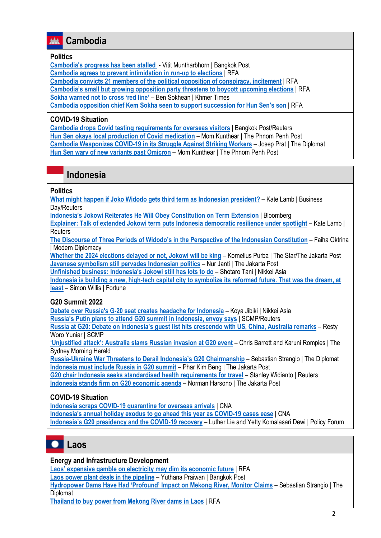### **Cambodia**

#### **Politics**

**[Cambodia's progress has been stalled](https://www.bangkokpost.com/opinion/opinion/2287830/cambodias-progress-has-been-stalled)** - Vitit Muntharbhorn | Bangkok Post **[Cambodia agrees to prevent intimidation in run-up to elections](https://www.rfa.org/english/news/cambodia/candlelight-03182022175253.html)** | RFA **[Cambodia convicts 21 members of the political opposition of conspiracy, incitement](https://www.rfa.org/english/news/cambodia/cnrp-03172022161249.html)** | RFA **[Cambodia's small but growing opposition party threatens to boycott upcoming elections](https://www.rfa.org/english/news/cambodia/election-boycott-threat-03292022175218.html)** | RFA **[Sokha warned not to cross 'red line'](https://www.khmertimeskh.com/501048315/sokha-warned-not-to-cross-red-line/)** – Ben Sokhean | Khmer Times **Cambodia opposition chief Kem [Sokha seen to support succession for Hun Sen's son](https://www.rfa.org/english/news/cambodia/succession-03032022193603.html)** | RFA

#### **COVID-19 Situation**

**[Cambodia drops Covid testing requirements for overseas visitors](https://www.bangkokpost.com/travel/2280682/cambodia-drops-covid-testing-requirements-for-overseas-visitors)** | Bangkok Post/Reuters **[Hun Sen okays local production of Covid medication](https://www.phnompenhpost.com/national/hun-sen-okays-local-production-covid-medication)** – Mom Kunthear | The Phnom Penh Post **[Cambodia Weaponizes COVID-19 in its Struggle Against Striking Workers](https://thediplomat.com/2022/03/cambodia-weaponizes-covid-19-in-its-struggle-against-striking-workers/)** – Josep Prat | The Diplomat **[Hun Sen wary of new variants past Omicron](https://www.phnompenhpost.com/national/hun-sen-wary-new-variants-past-omicron)** – Mom Kunthear | The Phnom Penh Post

### **Indonesia**

#### **Politics**

**[What might happen if Joko Widodo gets third term as Indonesian president?](https://www.businesslive.co.za/bd/world/asia/2022-03-16-what-might-happen-if-joko-widodo-gets-third-term-as-indonesian-president/)** – Kate Lamb | Business Day/Reuters

**[Indonesia's Jokowi Reiterates He Will Obey Constitution on Term Extension](https://www.bloomberg.com/news/articles/2022-03-30/jokowi-reiterates-he-will-obey-constitution-on-term-extension)** | Bloomberg

**[Explainer: Talk of extended Jokowi term puts Indonesia democratic resilience under spotlight](https://www.reuters.com/world/asia-pacific/talk-extended-jokowi-term-puts-indonesia-democratic-resilience-under-spotlight-2022-03-17/)** – Kate Lamb | **Reuters** 

**[The Discourse of Three Periods of Widodo's in the Perspective of the Indonesian Constitution](https://moderndiplomacy.eu/2022/03/04/the-discourse-of-three-periods-of-widodos-in-the-perspective-of-the-indonesian-constitution/)** – Faiha Oktrina | Modern Diplomacy

**[Whether the 2024 elections delayed or not, Jokowi will be king](https://www.thestar.com.my/aseanplus/aseanplus-news/2022/03/01/whether-the-2024-elections-delayed-or-not-jokowi-will-be-king-jakara-post)** – Kornelius Purba | The Star/The Jakarta Post **[Javanese symbolism still pervades Indonesian politics](https://www.thejakartapost.com/indonesia/2022/03/18/javanese-symbolism-still-pervades-indonesian-politics.html)** – Nur Janti | The Jakarta Post

**[Unfinished business: Indonesia's Jokowi still has lots to do](https://asia.nikkei.com/Spotlight/The-Big-Story/Unfinished-business-Indonesia-s-Jokowi-still-has-lots-to-do)** – Shotaro Tani | Nikkei Asia

**Indonesia [is building a new, high-tech capital city to symbolize its reformed future. That was the dream, at](https://fortune.com/2022/03/27/indonesia-new-capital-city-move-change-nusantara-pollution-corruption/)  [least](https://fortune.com/2022/03/27/indonesia-new-capital-city-move-change-nusantara-pollution-corruption/)** – Simon Willis | Fortune

#### **G20 Summit 2022**

**[Debate over Russia's G-20 seat creates headache for Indonesia](https://asia.nikkei.com/Politics/Ukraine-war/Debate-over-Russia-s-G-20-seat-creates-headache-for-Indonesia)** – Koya Jibiki | Nikkei Asia **Russia's Pu[tin plans to attend G20 summit in Indonesia, envoy says](https://www.scmp.com/news/asia/southeast-asia/article/3171525/russias-putin-plans-attend-g20-summit-indonesia-envoy-says)** | SCMP/Reuters **[Russia at G20: Debate on Indonesia's guest list hi](https://www.scmp.com/week-asia/politics/article/3172301/russia-g20-debate-indonesias-guest-list-hits-crescendo-us-china)ts crescendo with US, China, Australia remarks** – Resty

Woro Yuniar | SCMP

**['Unjustified attack': Australia slams Russian](https://www.smh.com.au/world/asia/unjustified-attack-australia-slams-russian-invasion-at-g20-event-20220330-p5a9eg.html) invasion at G20 event** – Chris Barrett and Karuni Rompies | The Sydney Morning Herald

**Russia-[Ukraine War Threatens to Derail Indonesia's G2](https://thediplomat.com/2022/03/russia-ukraine-war-threatens-to-derail-indonesias-g20-chairmanship/)0 Chairmanship** – Sebastian Strangio | The Diplomat **[Indonesia must include Russia in G20 summit](https://www.thejakartapost.com/opinion/2022/03/28/indonesia-must-include-russia-in-g20-summit.html)** – Phar Kim Beng | The Jakarta Post

**[G20 chair Indonesia seeks standardised health requirements for travel](https://www.reuters.com/business/healthcare-pharmaceuticals/g20-chair-indonesia-seeks-standardised-health-travel-requirements-2022-03-28/)** – Stanley Widianto | Reuters **[Indonesia stands firm on G20 economic agenda](https://www.thejakartapost.com/business/2022/03/24/indonesia-balks-at-pressures-to-add-ukraine-war-to-g20-agenda.html)** – Norman Harsono | The Jakarta Post

#### **COVID-19 Situation**

**[Indonesia scraps COVID-19 quarantine for overseas arrivals](https://www.channelnewsasia.com/asia/indonesia-scraps-covid-19-quarantine-overseas-arrivals-2577231)** | CNA **[Indonesia's annual holiday exodus to go ahead this year as COVID-19 cases ease](https://www.channelnewsasia.com/asia/indonesia-holiday-eid-al-fitr-domestic-travel-covid-19-2581591)** | CNA **[Indonesia's G20 presidency and the COVID](https://www.policyforum.net/indonesias-g20-presidency-and-the-covid-19-recovery/)-19 recovery** – Luther Lie and Yetty Komalasari Dewi | Policy Forum



#### **Energy and Infrastructure Development**

**[Laos' expensive gamble on electricity may dim its economic future](https://www.rfa.org/english/news/laos/debt-03052022100523.html)** | RFA

**[Laos power plant deals in the pipeline](https://www.bangkokpost.com/business/2279347/laos-power-plant-deals-in-the-pipeline)** – Yuthana Praiwan | Bangkok Post

**[Hydropower Dams Have Had 'Profound' Impact on Mekong River, Monitor Cl](https://thediplomat.com/2022/03/hydropower-dams-have-had-profound-impact-on-mekong-river-monitor-claims/)aims** – Sebastian Strangio | The Diplomat

**[Thailand to buy power from Mekong River dams in Laos](https://www.rfa.org/english/news/laos/power-03182022153846.html)** | RFA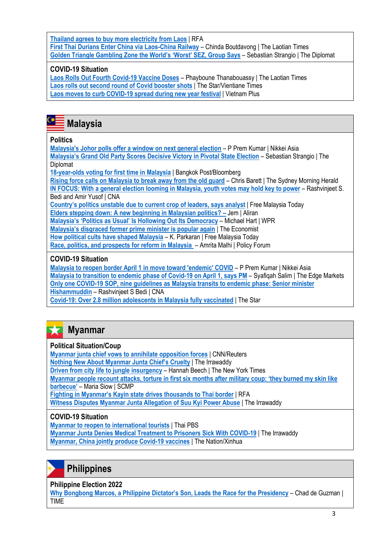**[Thailand agrees to buy more electricity from Laos](https://www.rfa.org/english/news/laos/thailand-03092022145758.html)** | RFA **[First Thai Durians Enter China via Laos-China Railway](https://laotiantimes.com/2022/03/30/first-thai-durians-enter-china-via-laos-china-railway/)** – Chinda Boutdavong | The Laotian Times **[Golden Triangle Gambling Zone the World's 'Worst' SEZ, Group Says](https://thediplomat.com/2022/03/golden-triangle-gambling-zone-the-worlds-worst-sez-group-says/)** – Sebastian Strangio | The Diplomat

### **COVID-19 Situation**

**[Laos Rolls Out Fourth Covid-19 Vaccine Doses](https://laotiantimes.com/2022/03/25/laos-rolls-out-fourth-covid-19-vaccine-doses/)** – Phayboune Thanabouassy | The Laotian Times **[Laos rolls out second round of Covid booster shots](https://www.thestar.com.my/aseanplus/aseanplus-news/2022/03/27/laos-rolls-out-second-round-of-covid-booster-shots)** | The Star/Vientiane Times **Laos moves [to curb COVID-19 spread during new year festival](https://en.vietnamplus.vn/laos-cambodia-move-to-curb-covid19-spread-during-new-year-festival/224243.vnp)** | Vietnam Plus



#### **Politics**

**[Malaysia's Johor polls offer a window on next general election](https://asia.nikkei.com/Politics/Malaysia-s-Johor-polls-offer-a-window-on-next-general-election)** – P Prem Kumar | Nikkei Asia **[Malaysia's Grand Old Party Scores Decisive Victory in Pivotal State Election](https://thediplomat.com/2022/03/malaysias-grand-old-party-scores-decisive-victory-in-pivotal-state-election/)** – Sebastian Strangio | The **Diplomat** 

**[18-year-olds voting for first time in Malaysia](https://www.bangkokpost.com/world/2278151/18-year-olds-voting-for-first-time-in-malaysia)** | Bangkok Post/Bloomberg

**[Rising force calls on Malaysia to break away from the old guard](https://www.smh.com.au/world/asia/rising-force-calls-on-malaysia-to-break-away-from-the-old-guard-20220301-p5a0hh.html)** – Chris Barett | The Sydney Morning Herald **[IN FOCUS: With a general election looming in Malaysia, youth votes may hold key to power](https://www.channelnewsasia.com/asia/malaysia-general-election-youth-voters-aspirations-undi18-2582846)** – Rashvinjeet S. Bedi and Amir Yusof | CNA

**[Country's politics unstable due to current crop of leaders, says analyst](https://www.freemalaysiatoday.com/category/nation/2022/03/17/countrys-politics-unstable-due-to-current-crop-of-leaders-says-analyst/)** | Free Malaysia Today

**[Elders stepping down: A new beginning in Malaysian politics?](https://aliran.com/thinking-allowed-online/elders-stepping-down-a-new-beginning-in-malaysian-politics) –** Jem | Aliran

**[Malaysia's 'Politics as Usual' Is Hollowing Out Its Democr](https://www.worldpoliticsreview.com/articles/30401/to-fix-its-democracy-malaysia-must-learn-from-bersih-s-legacy)acy** – Michael Hart | WPR

**[Malaysia's disgraced former prime minister is popular again](https://www.economist.com/asia/2022/03/19/malaysias-disgraced-former-prime-minister-is-popular-again)** | The Economist

**[How political cults have shaped Malaysia](https://www.freemalaysiatoday.com/category/opinion/2022/03/28/how-political-cults-have-shaped-malaysia/)** – K. Parkaran | Free Malaysia Today

**[Race, politics, and prospects for reform in Malaysia](https://www.policyforum.net/race-politics-and-prospects-for-reform-in-malaysia/)** – Amrita Malhi | Policy Forum

### **COVID-19 Situation**

**[Malaysia to reopen border April 1 in move toward 'endemic' COVID](https://asia.nikkei.com/Spotlight/Coronavirus/Malaysia-to-reopen-border-April-1-in-move-toward-endemic-COVID)** – P Prem Kumar | Nikkei Asia **[Malaysia to transition to endemic phase of Covid-19 on April 1, says PM](https://www.theedgemarkets.com/article/malaysia-enter-endemic-phase-april-1-says-pm)** – Syafiqah Salim | The Edge Markets **[Only one COVID-19 SOP, nine guidelines as Malaysia transits to endemic phase: Senior minister](https://www.channelnewsasia.com/asia/malaysia-covid-19-rules-endemic-phase-reopen-standard-operating-procedures-sop-guidelines-2551486)  [Hishammuddin](https://www.channelnewsasia.com/asia/malaysia-covid-19-rules-endemic-phase-reopen-standard-operating-procedures-sop-guidelines-2551486)** – Rashvinjeet S Bedi | CNA **[Covid-19: Over 2.8 million adolescents in Malaysia fully vaccinated](https://www.thestar.com.my/news/nation/2022/03/30/covid-19-over-28-million-adolescents-in-malaysia-fully-vaccinated)** | The Star

#### 52 **Myanmar**

#### **Political Situation/Coup**

**[Myanmar junta chief vows to annihilate opposition forces](https://edition.cnn.com/2022/03/28/asia/myanmar-min-aung-hlaing-annihilate-opposition-intl-hnk/index.html)** | CNN/Reuters **[Nothing New About Myanmar Junta Chie](https://www.irrawaddy.com/opinion/nothing-new-about-myanmar-junta-chiefs-cruelty.html)f's Cruelty** | The Irrawaddy **[Driven from city life to jungle insurgency](https://www.nytimes.com/2022/03/30/world/asia/myanmar-jungle-insurgency.html)** – Hannah Beech | The New York Times **[Myanmar people recount attacks, torture in first six months after military coup: 'they burned my skin like](https://www.scmp.com/week-asia/politics/article/3171682/they-burned-my-skin-barbecue-myanmar-people-recount-attacks)  [barbecue'](https://www.scmp.com/week-asia/politics/article/3171682/they-burned-my-skin-barbecue-myanmar-people-recount-attacks)** – Maria Siow | SCMP **[Fighting in Myanmar's Kayin state drives thousands to Thai border](https://www.rfa.org/english/news/myanmar/border-03292022192931.html)** | RFA **[Witness Disputes Myanmar Junta Allegation of Suu Kyi Power Abuse](https://www.irrawaddy.com/news/burma/witness-disputes-myanmar-junta-allegation-of-suu-kyi-power-abuse.html)** | The Irrawaddy

### **COVID-19 Situation**

**[Myanmar to reopen to international tourists](https://www.thaipbsworld.com/myanmar-to-reopen-to-international-tourists/)** | Thai PBS **[Myanmar Junta Denies Medical Treatment to Prisoners Sick With COVID-19](https://www.irrawaddy.com/news/burma/myanmar-junta-denies-medical-treatment-to-prisoners-sick-with-covid-19.html)** | The Irrawaddy **[Myanmar, China jointly produce Covid-19 vaccines](https://www.nationthailand.com/international/40013834)** | The Nation/Xinhua

# **Philippines**

**Philippine Election 2022**

**Why Bongbong Marcos, a Philippine D[ictator's Son, Leads the Race for the Presidency](https://time.com/6162028/bongbong-marcos-philippines-president-popular/)** – Chad de Guzman | **TIME**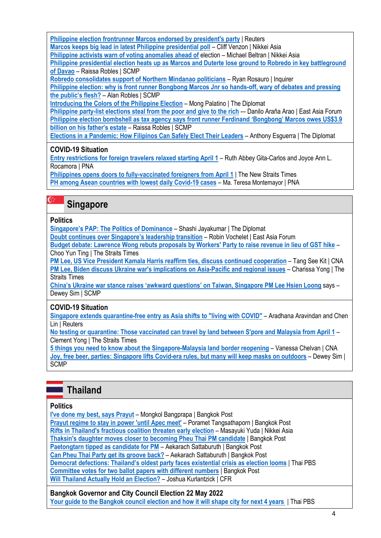**[Philippine election frontrunner Marcos endorsed by president's party](https://www.reuters.com/world/asia-pacific/philippine-leaders-party-endorses-presidential-bid-marcos-jr-media-2022-03-22/)** | Reuters **[Marcos keeps big lead in latest Philippine presidential poll](https://asia.nikkei.com/Politics/Philippine-elections-2022/Marcos-keeps-big-lead-in-latest-Philippine-presidential-poll)** – Cliff Venzon | Nikkei Asia

**[Philippine activists warn of voting anomalies ahead of](https://asia.nikkei.com/Politics/Philippine-elections-2022/Philippine-activists-warn-of-voting-anomalies-ahead-of-election) election – Michael Beltran | Nikkei Asia** 

**[Philippine presidential election heats up as Marcos and Duterte lose ground to Robredo in key battleground](https://www.scmp.com/week-asia/politics/article/3171754/philippine-presidential-election-heats-marcos-and-duterte-lose)  of [Davao](https://www.scmp.com/week-asia/politics/article/3171754/philippine-presidential-election-heats-marcos-and-duterte-lose)** – Raissa Robles | SCMP

**[Robredo consolidates support of Northern Mindanao politicians](https://newsinfo.inquirer.net/1575932/robredo-consolidates-support-of-northern-mindanao-politicians)** – Ryan Rosauro | Inquirer

**[Philippine election: why is front runner Bongbong Marcos Jnr so hands-off, wary of debates and pressing](https://www.scmp.com/week-asia/people/article/3169252/philippine-election-why-front-runner-bongbong-marcos-jnr-so-hands)  [the public's flesh?](https://www.scmp.com/week-asia/people/article/3169252/philippine-election-why-front-runner-bongbong-marcos-jnr-so-hands)** – Alan Robles | SCMP

**[Introducing the Colors of the Philippine Election](https://thediplomat.com/2022/03/introducing-the-colors-of-the-philippine-election/)** – Mong Palatino | The Diplomat

**[Philippine party-list elections steal from the poor and give to the rich](https://www.eastasiaforum.org/2022/03/23/philippine-party-list-elections-steal-from-the-poor-and-give-to-the-rich/)** -- Danilo Araña Arao | East Asia Forum **[Philippine election bombshell as tax agency says front runner Ferdinand 'Bongbong' Marcos owes US\\$3.9](https://www.scmp.com/week-asia/politics/article/3170859/philippine-election-bombshell-tax-agency-says-front-runner)  [billion on his father's estate](https://www.scmp.com/week-asia/politics/article/3170859/philippine-election-bombshell-tax-agency-says-front-runner)** – Raissa Robles | SCMP

**[Elections in a Pandemic: How Filipinos Can Safely Elect Their Leaders](https://thediplomat.com/2022/03/elections-in-a-pandemic-how-filipinos-can-safely-elect-their-leaders/)** – Anthony Esguerra | The Diplomat

### **COVID-19 Situation**

**[Entry restrictions for foreign travelers relaxed starting April 1](https://www.pna.gov.ph/articles/1170646)** – Ruth Abbey Gita-Carlos and Joyce Ann L. Rocamora | PNA

**[Philippines opens doors to fully-vaccinated foreigners from April 1](https://www.nst.com.my/world/region/2022/03/783341/philippines-opens-doors-fully-vaccinated-foreigners-april-1)** | The New Straits Times **[PH among Asean countries with lowest daily Covid-19 cases](https://www.pna.gov.ph/articles/1170969)** – Ma. Teresa Montemayor | PNA

# **Singapore**

### **Politics**

C.

**[Singapore's PAP: The Politics of Dominance](https://thediplomat.com/2022/03/singapores-pap-the-politics-of-dominance/)** – Shashi Jayakumar | The Diplomat

**Doubt contin[ues over Singapore's leadership transition](https://www.eastasiaforum.org/2022/03/26/doubt-cast-over-singapores-leadership-transition/) – Robin Vochelet | East Asia Forum** 

**[Budget debate: Lawrence Wong rebuts proposals by Workers' Party to raise revenue in lieu of GST hike](https://www.straitstimes.com/singapore/politics/lawrence-wong-rebuts-proposals-by-the-workers-party-to-raise-revenue-in-lieu-of-gst-hike)** – Choo Yun Ting | The Straits Times

**[PM Lee, US Vice President Kamala Harris reaffirm ties, discuss continued cooperation](https://www.channelnewsasia.com/singapore/pm-lee-kamala-harris-singapore-united-states-cooperation-2595006)** – Tang See Kit | CNA **[PM Lee, Biden discuss Ukraine war's implications on Asia-Pacific and regional issues](https://www.straitstimes.com/world/pm-lee-biden-discuss-ukraine-wars-implications-on-asia-pacific-and-regional-issues)** – Charissa Yong | The Straits Times

**[China's Ukraine war stance raises 'awkward questions' on Taiwan, Singapore PM Lee Hsien Loong](https://www.scmp.com/week-asia/politics/article/3172476/chinas-ukraine-war-stance-raises-awkward-questions-taiwan)** says – Dewey Sim | SCMP

## **COVID-19 Situation**

**[Singapore extends quarantine-free entry as Asia shifts to "living with COVID"](https://www.reuters.com/world/asia-pacific/singapore-relax-more-covid-curbs-including-overseas-arrivals-2022-03-24/)** – Aradhana Aravindan and Chen Lin | Reuters

**[No testing or quarantine: Those vaccinated can travel by land between S'pore and Malaysia from April 1](https://www.straitstimes.com/singapore/singapore-malaysia-to-reopen-land-borders-on-april-1)** – Clement Yong | The Straits Times

**[5 things you need to know about the Singapore-Malaysia land border reopening](https://www.channelnewsasia.com/singapore/5-things-you-need-know-about-singapore-malaysia-land-border-reopening-2583626)** – Vanessa Chelvan | CNA **[Joy, free beer, parties: Singapore lifts Covid-era rules, but many will keep masks on outdoors](https://www.scmp.com/week-asia/health-environment/article/3172239/joy-free-beer-parties-singapore-lifts-covid-era-rules)** – Dewey Sim | SCMP

# **Thailand**

### **Politics**

**[I've done my best, says Prayut](https://www.bangkokpost.com/thailand/politics/2287730/ive-done-my-best-says-prayut)** – Mongkol Bangprapa | Bangkok Post **[Prayut regime to stay in power 'until Apec meet'](https://www.bangkokpost.com/thailand/general/2287230/prayut-regime-to-stay-in-power-until-apec-meet)** – Poramet Tangsathaporn | Bangkok Post **[Rifts in Thailand's fractious coalition threaten early election](https://asia.nikkei.com/Spotlight/Asia-Insight/Rifts-in-Thailand-s-fractious-coalition-threaten-early-election)** – Masayuki Yuda | Nikkei Asia **[Thaksin's daughter moves closer to becoming Pheu Thai PM candidate](https://www.bangkokpost.com/thailand/politics/2282139/thaksins-daughter-moves-closer-to-becoming-pheu-thai-pm-candidate)** | Bangkok Post **[Paetongtarn tipped as candidate for PM](https://www.bangkokpost.com/thailand/politics/2282786/paetongtarn-tipped-as-candidate-for-pm)** – Aekarach Sattaburuth | Bangkok Post **[Can Pheu Thai Party get its groove back?](https://www.bangkokpost.com/opinion/opinion/2286102/can-pheu-thai-party-get-its-groove-back-)** – Aekarach Sattaburuth | Bangkok Post **[Democrat defections: Thailand's oldest party faces existential crisis as election looms](https://www.thaipbsworld.com/democrat-defections-thailands-oldest-party-faces-existential-crisis-as-election-looms/)** | Thai PBS **[Committee votes for two ballot papers with different numbers](https://www.bangkokpost.com/thailand/politics/2287646/committee-votes-for-two-ballot-papers-with-different-numbers)** | Bangkok Post **[Will Thailand Actually Hold an Election?](https://www.cfr.org/blog/will-thailand-actually-hold-election)** – Joshua Kurlantzick | CFR

**Bangkok Governor and City Council Election 22 May 2022 [Your guide to the Bangkok council election and how it will shape city for next 4 years](https://www.thaipbsworld.com/your-guide-to-the-bangkok-council-election-and-how-it-will-shape-city-for-next-4-years/)** | Thai PBS